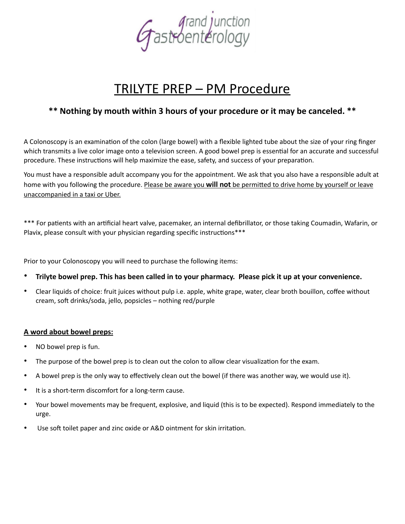

# TRILYTE PREP – PM Procedure

## **\*\* Nothing by mouth within 3 hours of your procedure or it may be canceled. \*\***

A Colonoscopy is an examination of the colon (large bowel) with a flexible lighted tube about the size of your ring finger which transmits a live color image onto a television screen. A good bowel prep is essential for an accurate and successful procedure. These instructions will help maximize the ease, safety, and success of your preparation.

You must have a responsible adult accompany you for the appointment. We ask that you also have a responsible adult at home with you following the procedure. Please be aware you **will not** be permitted to drive home by yourself or leave unaccompanied in a taxi or Uber.

\*\*\* For patients with an artificial heart valve, pacemaker, an internal defibrillator, or those taking Coumadin, Wafarin, or Plavix, please consult with your physician regarding specific instructions\*\*\*

Prior to your Colonoscopy you will need to purchase the following items:

- **Trilyte bowel prep. This has been called in to your pharmacy. Please pick it up at your convenience.**
- Clear liquids of choice: fruit juices without pulp i.e. apple, white grape, water, clear broth bouillon, coffee without cream, soft drinks/soda, jello, popsicles – nothing red/purple

### **A word about bowel preps:**

- NO bowel prep is fun.
- The purpose of the bowel prep is to clean out the colon to allow clear visualization for the exam.
- A bowel prep is the only way to effectively clean out the bowel (if there was another way, we would use it).
- It is a short-term discomfort for a long-term cause.
- Your bowel movements may be frequent, explosive, and liquid (this is to be expected). Respond immediately to the urge.
- Use soft toilet paper and zinc oxide or A&D ointment for skin irritation.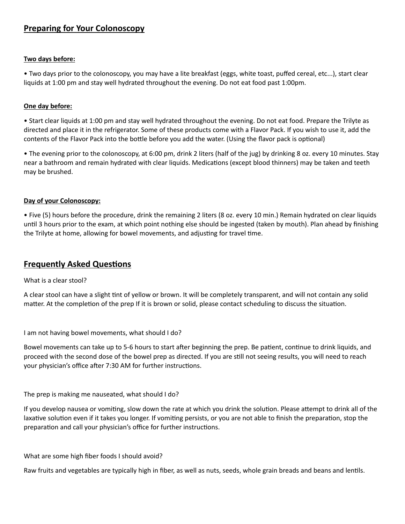## **Preparing for Your Colonoscopy**

#### **Two days before:**

• Two days prior to the colonoscopy, you may have a lite breakfast (eggs, white toast, puffed cereal, etc...), start clear liquids at 1:00 pm and stay well hydrated throughout the evening. Do not eat food past 1:00pm.

#### **One day before:**

• Start clear liquids at 1:00 pm and stay well hydrated throughout the evening. Do not eat food. Prepare the Trilyte as directed and place it in the refrigerator. Some of these products come with a Flavor Pack. If you wish to use it, add the contents of the Flavor Pack into the bottle before you add the water. (Using the flavor pack is optional)

• The evening prior to the colonoscopy, at 6:00 pm, drink 2 liters (half of the jug) by drinking 8 oz. every 10 minutes. Stay near a bathroom and remain hydrated with clear liquids. Medications (except blood thinners) may be taken and teeth may be brushed.

#### **Day of your Colonoscopy:**

• Five (5) hours before the procedure, drink the remaining 2 liters (8 oz. every 10 min.) Remain hydrated on clear liquids until 3 hours prior to the exam, at which point nothing else should be ingested (taken by mouth). Plan ahead by finishing the Trilyte at home, allowing for bowel movements, and adjusting for travel time.

## **Frequently Asked Questions**

What is a clear stool?

A clear stool can have a slight tint of yellow or brown. It will be completely transparent, and will not contain any solid matter. At the completion of the prep If it is brown or solid, please contact scheduling to discuss the situation.

I am not having bowel movements, what should I do?

Bowel movements can take up to 5-6 hours to start after beginning the prep. Be patient, continue to drink liquids, and proceed with the second dose of the bowel prep as directed. If you are still not seeing results, you will need to reach your physician's office after 7:30 AM for further instructions.

The prep is making me nauseated, what should I do?

If you develop nausea or vomiting, slow down the rate at which you drink the solution. Please attempt to drink all of the laxative solution even if it takes you longer. If vomiting persists, or you are not able to finish the preparation, stop the preparation and call your physician's office for further instructions.

What are some high fiber foods I should avoid?

Raw fruits and vegetables are typically high in fiber, as well as nuts, seeds, whole grain breads and beans and lentils.